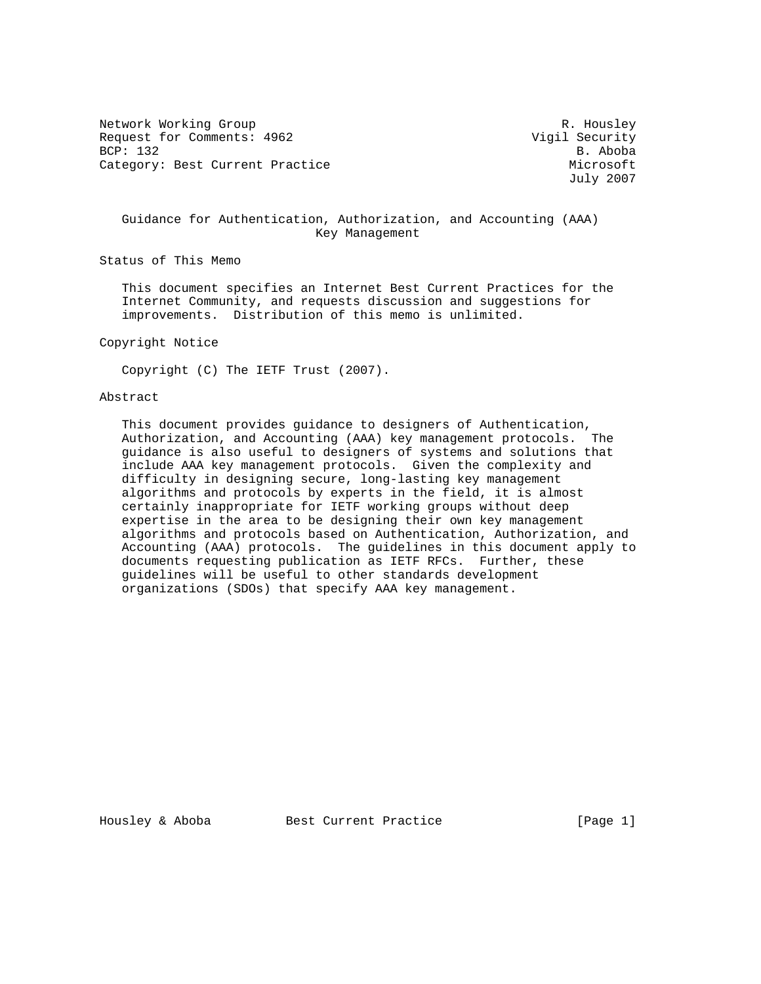Network Working Group and Months and Months and Months R. Housley Request for Comments: 4962 Vigil Security BCP: 132 B. Aboba Category: Best Current Practice and Category: Best Current Practice and Microsoft

July 2007

# Guidance for Authentication, Authorization, and Accounting (AAA) Key Management

Status of This Memo

 This document specifies an Internet Best Current Practices for the Internet Community, and requests discussion and suggestions for improvements. Distribution of this memo is unlimited.

## Copyright Notice

Copyright (C) The IETF Trust (2007).

# Abstract

 This document provides guidance to designers of Authentication, Authorization, and Accounting (AAA) key management protocols. The guidance is also useful to designers of systems and solutions that include AAA key management protocols. Given the complexity and difficulty in designing secure, long-lasting key management algorithms and protocols by experts in the field, it is almost certainly inappropriate for IETF working groups without deep expertise in the area to be designing their own key management algorithms and protocols based on Authentication, Authorization, and Accounting (AAA) protocols. The guidelines in this document apply to documents requesting publication as IETF RFCs. Further, these guidelines will be useful to other standards development organizations (SDOs) that specify AAA key management.

Housley & Aboba Best Current Practice [Page 1]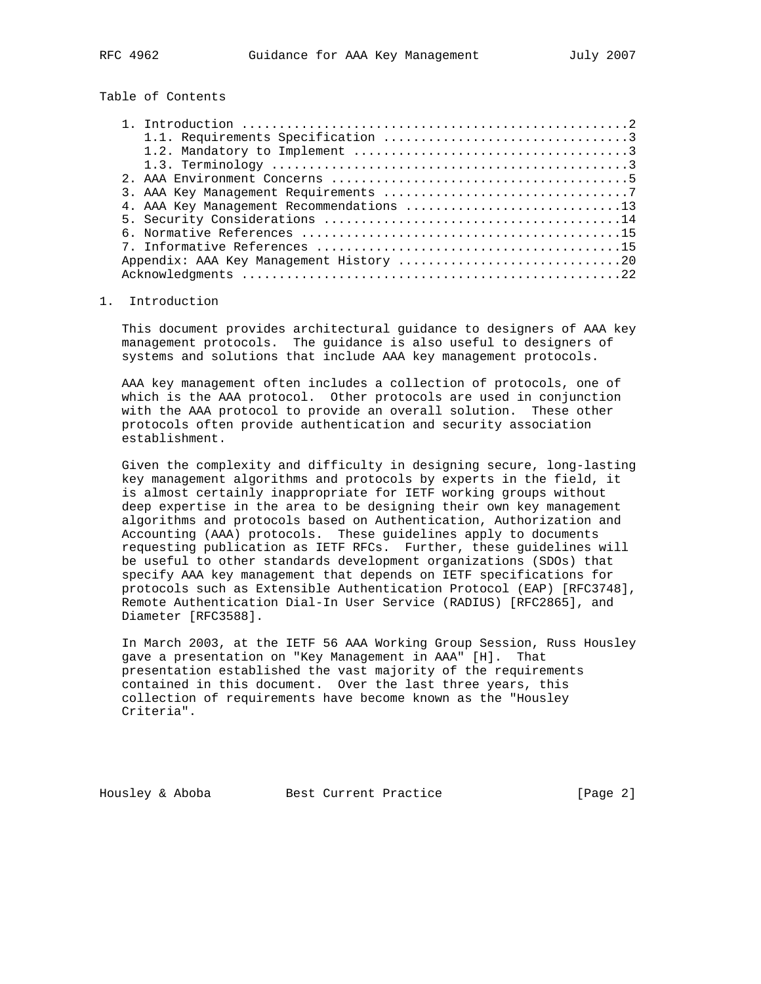Table of Contents

| 4. AAA Key Management Recommendations 13 |  |
|------------------------------------------|--|
|                                          |  |
|                                          |  |
|                                          |  |
|                                          |  |
|                                          |  |

# 1. Introduction

 This document provides architectural guidance to designers of AAA key management protocols. The guidance is also useful to designers of systems and solutions that include AAA key management protocols.

 AAA key management often includes a collection of protocols, one of which is the AAA protocol. Other protocols are used in conjunction with the AAA protocol to provide an overall solution. These other protocols often provide authentication and security association establishment.

 Given the complexity and difficulty in designing secure, long-lasting key management algorithms and protocols by experts in the field, it is almost certainly inappropriate for IETF working groups without deep expertise in the area to be designing their own key management algorithms and protocols based on Authentication, Authorization and Accounting (AAA) protocols. These guidelines apply to documents requesting publication as IETF RFCs. Further, these guidelines will be useful to other standards development organizations (SDOs) that specify AAA key management that depends on IETF specifications for protocols such as Extensible Authentication Protocol (EAP) [RFC3748], Remote Authentication Dial-In User Service (RADIUS) [RFC2865], and Diameter [RFC3588].

 In March 2003, at the IETF 56 AAA Working Group Session, Russ Housley gave a presentation on "Key Management in AAA" [H]. That presentation established the vast majority of the requirements contained in this document. Over the last three years, this collection of requirements have become known as the "Housley Criteria".

Housley & Aboba Best Current Practice [Page 2]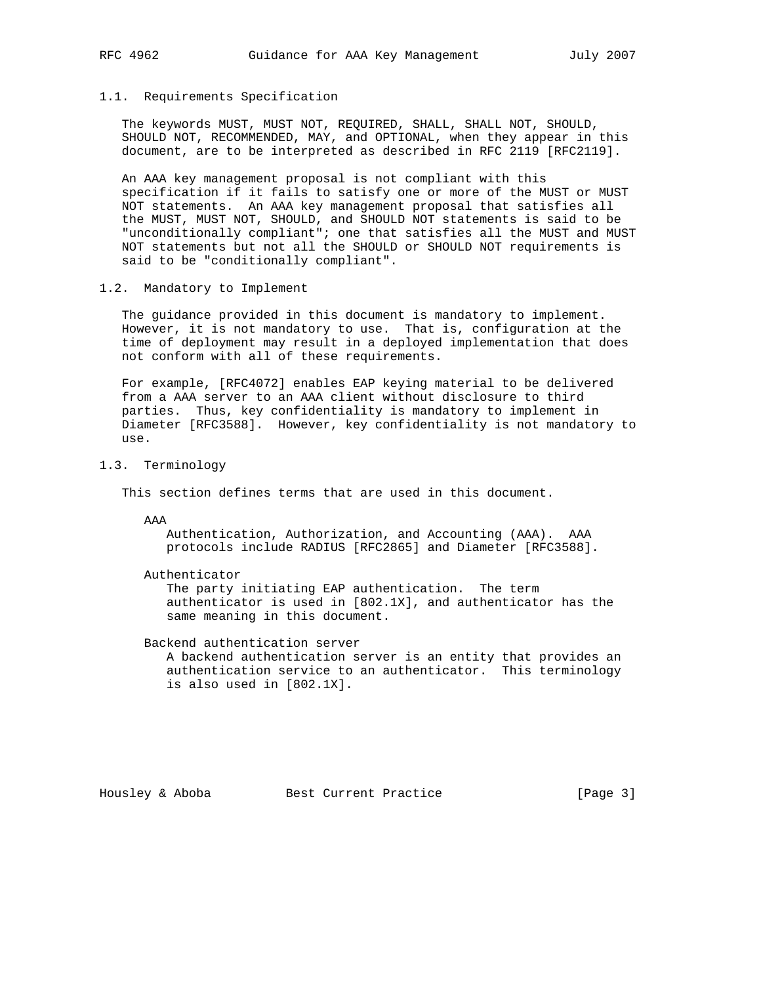# 1.1. Requirements Specification

 The keywords MUST, MUST NOT, REQUIRED, SHALL, SHALL NOT, SHOULD, SHOULD NOT, RECOMMENDED, MAY, and OPTIONAL, when they appear in this document, are to be interpreted as described in RFC 2119 [RFC2119].

 An AAA key management proposal is not compliant with this specification if it fails to satisfy one or more of the MUST or MUST NOT statements. An AAA key management proposal that satisfies all the MUST, MUST NOT, SHOULD, and SHOULD NOT statements is said to be "unconditionally compliant"; one that satisfies all the MUST and MUST NOT statements but not all the SHOULD or SHOULD NOT requirements is said to be "conditionally compliant".

# 1.2. Mandatory to Implement

 The guidance provided in this document is mandatory to implement. However, it is not mandatory to use. That is, configuration at the time of deployment may result in a deployed implementation that does not conform with all of these requirements.

 For example, [RFC4072] enables EAP keying material to be delivered from a AAA server to an AAA client without disclosure to third parties. Thus, key confidentiality is mandatory to implement in Diameter [RFC3588]. However, key confidentiality is not mandatory to use.

# 1.3. Terminology

This section defines terms that are used in this document.

AAA

 Authentication, Authorization, and Accounting (AAA). AAA protocols include RADIUS [RFC2865] and Diameter [RFC3588].

Authenticator

 The party initiating EAP authentication. The term authenticator is used in [802.1X], and authenticator has the same meaning in this document.

Backend authentication server

 A backend authentication server is an entity that provides an authentication service to an authenticator. This terminology is also used in [802.1X].

Housley & Aboba Best Current Practice [Page 3]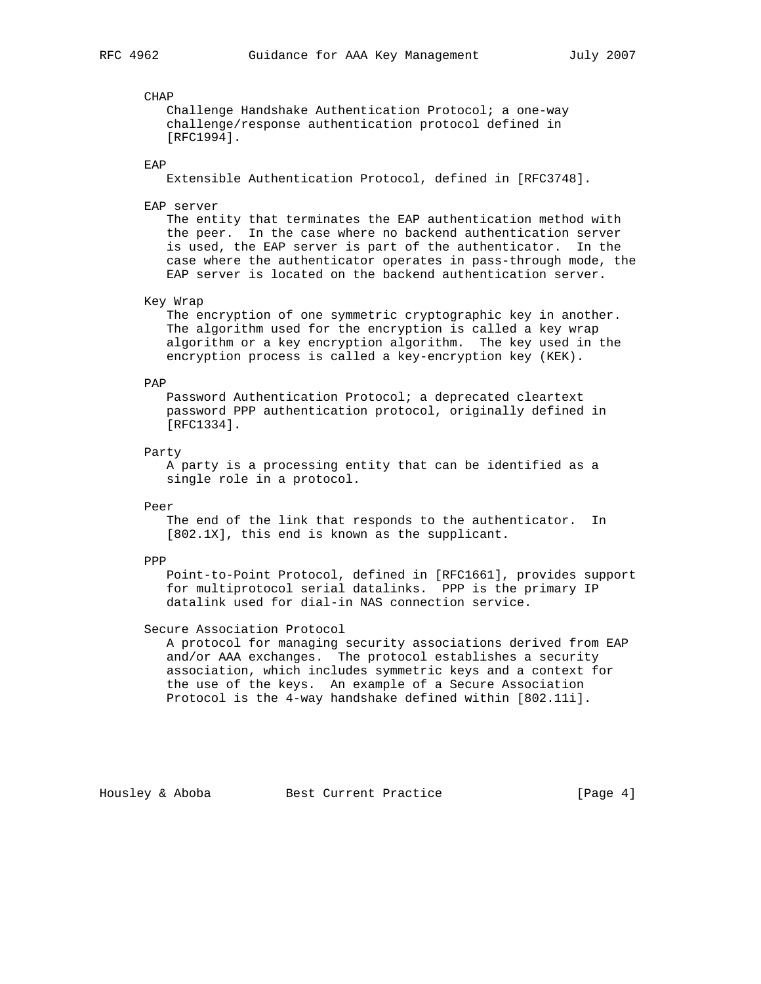## CHAP

 Challenge Handshake Authentication Protocol; a one-way challenge/response authentication protocol defined in [RFC1994].

## EAP

Extensible Authentication Protocol, defined in [RFC3748].

EAP server

 The entity that terminates the EAP authentication method with the peer. In the case where no backend authentication server is used, the EAP server is part of the authenticator. In the case where the authenticator operates in pass-through mode, the EAP server is located on the backend authentication server.

## Key Wrap

 The encryption of one symmetric cryptographic key in another. The algorithm used for the encryption is called a key wrap algorithm or a key encryption algorithm. The key used in the encryption process is called a key-encryption key (KEK).

#### PAP

 Password Authentication Protocol; a deprecated cleartext password PPP authentication protocol, originally defined in [RFC1334].

## Party

 A party is a processing entity that can be identified as a single role in a protocol.

Peer

 The end of the link that responds to the authenticator. In [802.1X], this end is known as the supplicant.

## PPP

 Point-to-Point Protocol, defined in [RFC1661], provides support for multiprotocol serial datalinks. PPP is the primary IP datalink used for dial-in NAS connection service.

# Secure Association Protocol

 A protocol for managing security associations derived from EAP and/or AAA exchanges. The protocol establishes a security association, which includes symmetric keys and a context for the use of the keys. An example of a Secure Association Protocol is the 4-way handshake defined within [802.11i].

Housley & Aboba Best Current Practice [Page 4]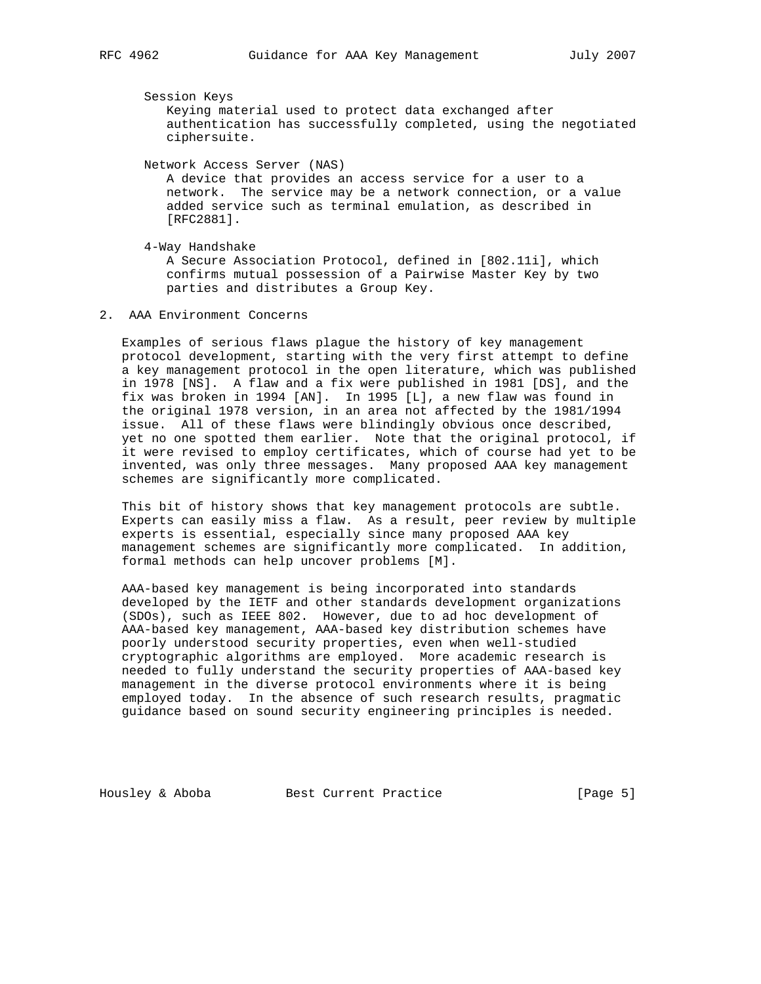Session Keys

 Keying material used to protect data exchanged after authentication has successfully completed, using the negotiated ciphersuite.

Network Access Server (NAS)

 A device that provides an access service for a user to a network. The service may be a network connection, or a value added service such as terminal emulation, as described in [RFC2881].

 4-Way Handshake A Secure Association Protocol, defined in [802.11i], which confirms mutual possession of a Pairwise Master Key by two

parties and distributes a Group Key.

2. AAA Environment Concerns

 Examples of serious flaws plague the history of key management protocol development, starting with the very first attempt to define a key management protocol in the open literature, which was published in 1978 [NS]. A flaw and a fix were published in 1981 [DS], and the fix was broken in 1994 [AN]. In 1995 [L], a new flaw was found in the original 1978 version, in an area not affected by the 1981/1994 issue. All of these flaws were blindingly obvious once described, yet no one spotted them earlier. Note that the original protocol, if it were revised to employ certificates, which of course had yet to be invented, was only three messages. Many proposed AAA key management schemes are significantly more complicated.

 This bit of history shows that key management protocols are subtle. Experts can easily miss a flaw. As a result, peer review by multiple experts is essential, especially since many proposed AAA key management schemes are significantly more complicated. In addition, formal methods can help uncover problems [M].

 AAA-based key management is being incorporated into standards developed by the IETF and other standards development organizations (SDOs), such as IEEE 802. However, due to ad hoc development of AAA-based key management, AAA-based key distribution schemes have poorly understood security properties, even when well-studied cryptographic algorithms are employed. More academic research is needed to fully understand the security properties of AAA-based key management in the diverse protocol environments where it is being employed today. In the absence of such research results, pragmatic guidance based on sound security engineering principles is needed.

Housley & Aboba Best Current Practice [Page 5]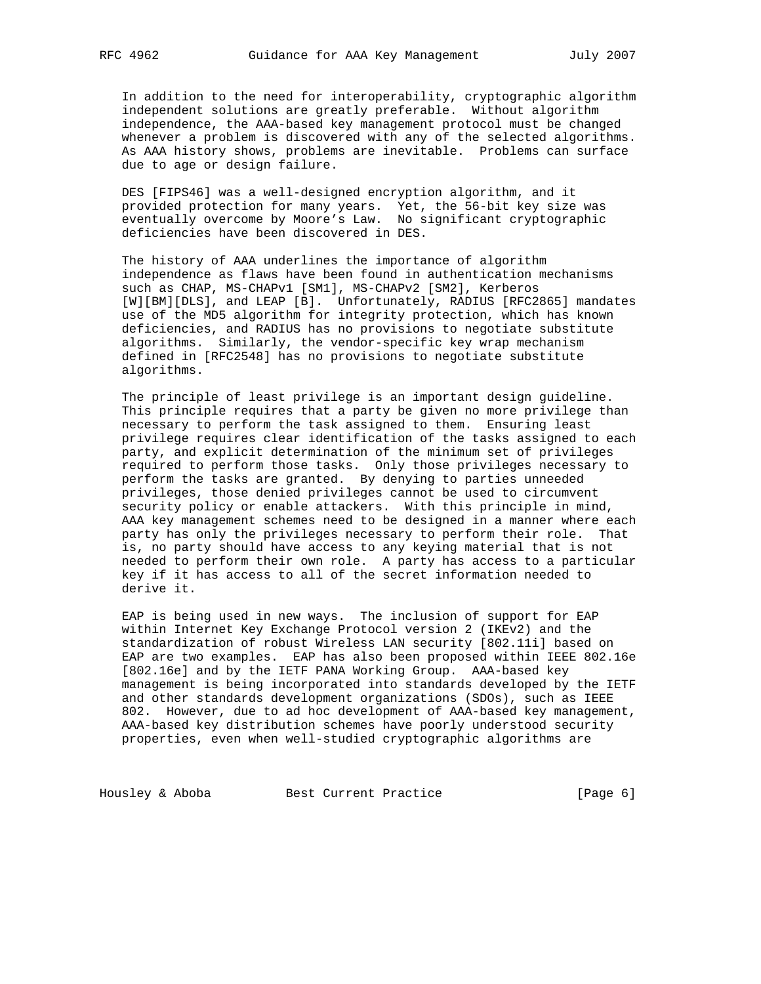In addition to the need for interoperability, cryptographic algorithm independent solutions are greatly preferable. Without algorithm independence, the AAA-based key management protocol must be changed whenever a problem is discovered with any of the selected algorithms. As AAA history shows, problems are inevitable. Problems can surface due to age or design failure.

 DES [FIPS46] was a well-designed encryption algorithm, and it provided protection for many years. Yet, the 56-bit key size was eventually overcome by Moore's Law. No significant cryptographic deficiencies have been discovered in DES.

 The history of AAA underlines the importance of algorithm independence as flaws have been found in authentication mechanisms such as CHAP, MS-CHAPv1 [SM1], MS-CHAPv2 [SM2], Kerberos [W][BM][DLS], and LEAP [B]. Unfortunately, RADIUS [RFC2865] mandates use of the MD5 algorithm for integrity protection, which has known deficiencies, and RADIUS has no provisions to negotiate substitute algorithms. Similarly, the vendor-specific key wrap mechanism defined in [RFC2548] has no provisions to negotiate substitute algorithms.

 The principle of least privilege is an important design guideline. This principle requires that a party be given no more privilege than necessary to perform the task assigned to them. Ensuring least privilege requires clear identification of the tasks assigned to each party, and explicit determination of the minimum set of privileges required to perform those tasks. Only those privileges necessary to perform the tasks are granted. By denying to parties unneeded privileges, those denied privileges cannot be used to circumvent security policy or enable attackers. With this principle in mind, AAA key management schemes need to be designed in a manner where each party has only the privileges necessary to perform their role. That is, no party should have access to any keying material that is not needed to perform their own role. A party has access to a particular key if it has access to all of the secret information needed to derive it.

 EAP is being used in new ways. The inclusion of support for EAP within Internet Key Exchange Protocol version 2 (IKEv2) and the standardization of robust Wireless LAN security [802.11i] based on EAP are two examples. EAP has also been proposed within IEEE 802.16e [802.16e] and by the IETF PANA Working Group. AAA-based key management is being incorporated into standards developed by the IETF and other standards development organizations (SDOs), such as IEEE 802. However, due to ad hoc development of AAA-based key management, AAA-based key distribution schemes have poorly understood security properties, even when well-studied cryptographic algorithms are

Housley & Aboba Best Current Practice [Page 6]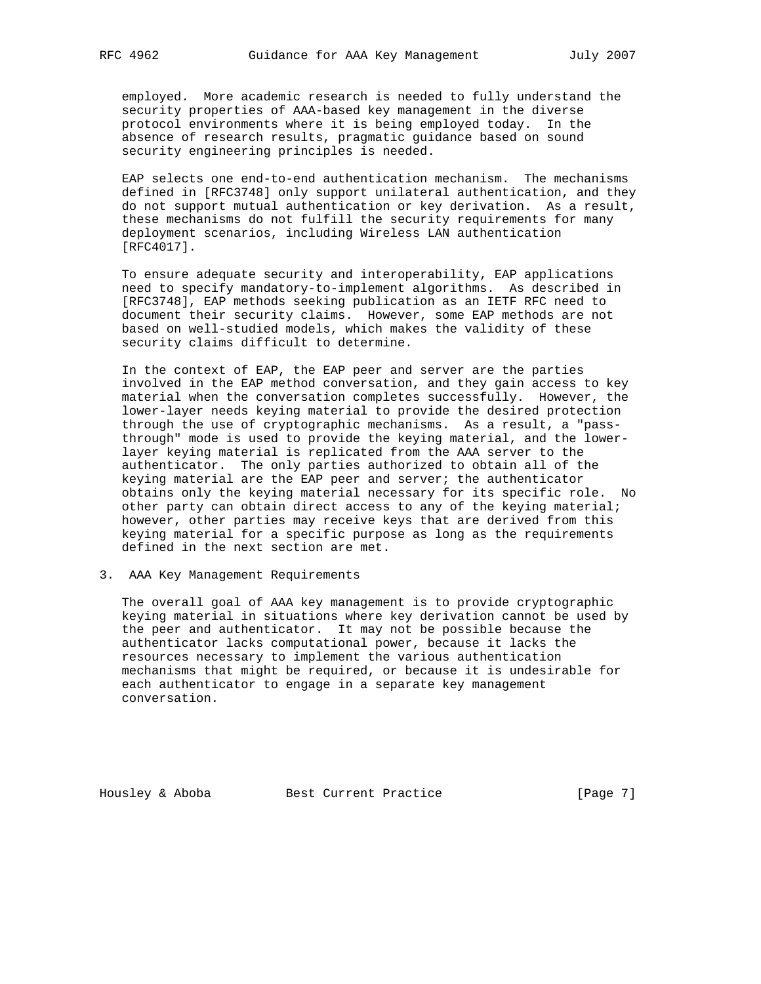employed. More academic research is needed to fully understand the security properties of AAA-based key management in the diverse protocol environments where it is being employed today. In the absence of research results, pragmatic guidance based on sound security engineering principles is needed.

 EAP selects one end-to-end authentication mechanism. The mechanisms defined in [RFC3748] only support unilateral authentication, and they do not support mutual authentication or key derivation. As a result, these mechanisms do not fulfill the security requirements for many deployment scenarios, including Wireless LAN authentication [RFC4017].

 To ensure adequate security and interoperability, EAP applications need to specify mandatory-to-implement algorithms. As described in [RFC3748], EAP methods seeking publication as an IETF RFC need to document their security claims. However, some EAP methods are not based on well-studied models, which makes the validity of these security claims difficult to determine.

 In the context of EAP, the EAP peer and server are the parties involved in the EAP method conversation, and they gain access to key material when the conversation completes successfully. However, the lower-layer needs keying material to provide the desired protection through the use of cryptographic mechanisms. As a result, a "pass through" mode is used to provide the keying material, and the lower layer keying material is replicated from the AAA server to the authenticator. The only parties authorized to obtain all of the keying material are the EAP peer and server; the authenticator obtains only the keying material necessary for its specific role. No other party can obtain direct access to any of the keying material; however, other parties may receive keys that are derived from this keying material for a specific purpose as long as the requirements defined in the next section are met.

3. AAA Key Management Requirements

 The overall goal of AAA key management is to provide cryptographic keying material in situations where key derivation cannot be used by the peer and authenticator. It may not be possible because the authenticator lacks computational power, because it lacks the resources necessary to implement the various authentication mechanisms that might be required, or because it is undesirable for each authenticator to engage in a separate key management conversation.

Housley & Aboba Best Current Practice [Page 7]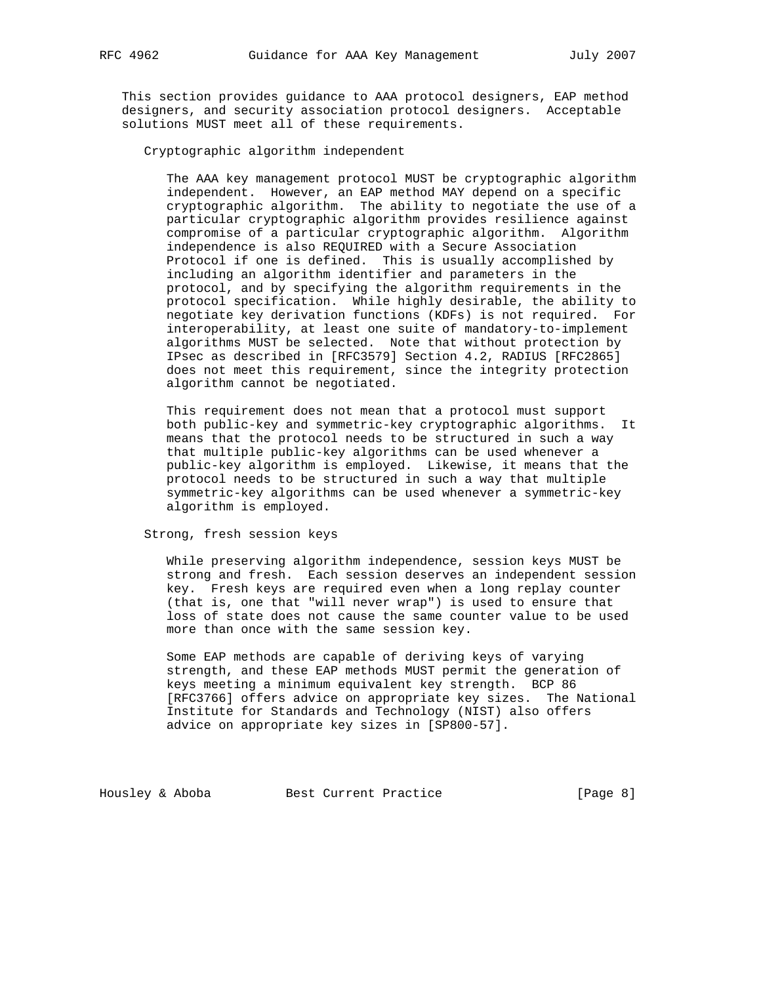This section provides guidance to AAA protocol designers, EAP method designers, and security association protocol designers. Acceptable solutions MUST meet all of these requirements.

Cryptographic algorithm independent

 The AAA key management protocol MUST be cryptographic algorithm independent. However, an EAP method MAY depend on a specific cryptographic algorithm. The ability to negotiate the use of a particular cryptographic algorithm provides resilience against compromise of a particular cryptographic algorithm. Algorithm independence is also REQUIRED with a Secure Association Protocol if one is defined. This is usually accomplished by including an algorithm identifier and parameters in the protocol, and by specifying the algorithm requirements in the protocol specification. While highly desirable, the ability to negotiate key derivation functions (KDFs) is not required. For interoperability, at least one suite of mandatory-to-implement algorithms MUST be selected. Note that without protection by IPsec as described in [RFC3579] Section 4.2, RADIUS [RFC2865] does not meet this requirement, since the integrity protection algorithm cannot be negotiated.

 This requirement does not mean that a protocol must support both public-key and symmetric-key cryptographic algorithms. It means that the protocol needs to be structured in such a way that multiple public-key algorithms can be used whenever a public-key algorithm is employed. Likewise, it means that the protocol needs to be structured in such a way that multiple symmetric-key algorithms can be used whenever a symmetric-key algorithm is employed.

Strong, fresh session keys

 While preserving algorithm independence, session keys MUST be strong and fresh. Each session deserves an independent session key. Fresh keys are required even when a long replay counter (that is, one that "will never wrap") is used to ensure that loss of state does not cause the same counter value to be used more than once with the same session key.

 Some EAP methods are capable of deriving keys of varying strength, and these EAP methods MUST permit the generation of keys meeting a minimum equivalent key strength. BCP 86 [RFC3766] offers advice on appropriate key sizes. The National Institute for Standards and Technology (NIST) also offers advice on appropriate key sizes in [SP800-57].

Housley & Aboba Best Current Practice [Page 8]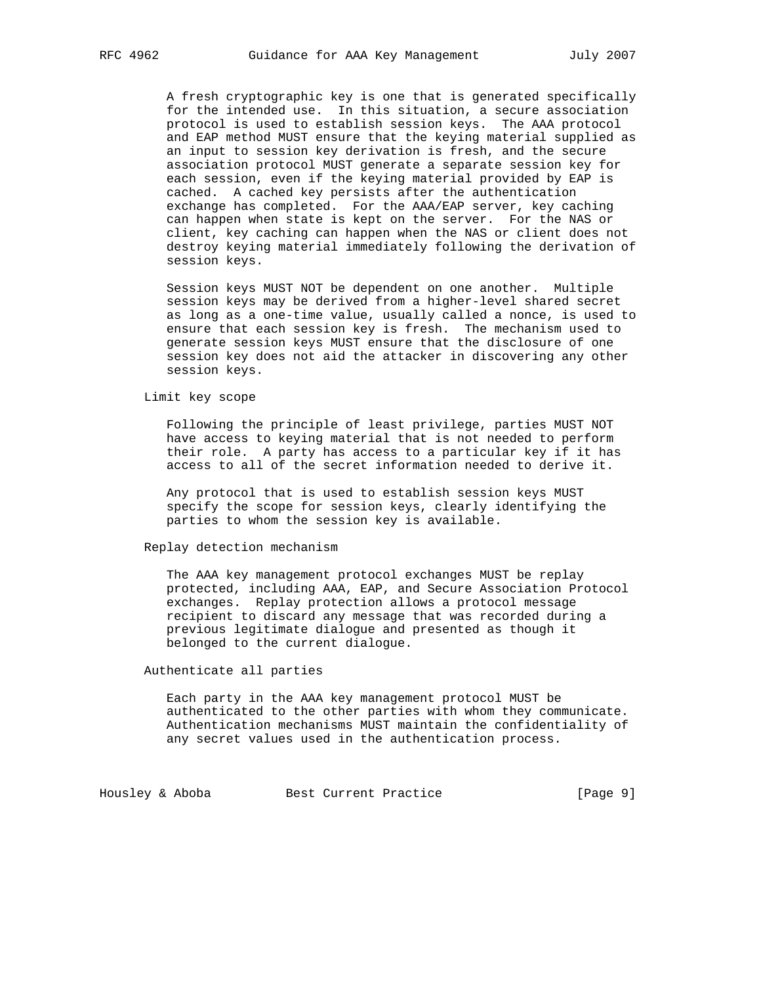A fresh cryptographic key is one that is generated specifically for the intended use. In this situation, a secure association protocol is used to establish session keys. The AAA protocol and EAP method MUST ensure that the keying material supplied as an input to session key derivation is fresh, and the secure association protocol MUST generate a separate session key for each session, even if the keying material provided by EAP is cached. A cached key persists after the authentication exchange has completed. For the AAA/EAP server, key caching can happen when state is kept on the server. For the NAS or client, key caching can happen when the NAS or client does not destroy keying material immediately following the derivation of session keys.

 Session keys MUST NOT be dependent on one another. Multiple session keys may be derived from a higher-level shared secret as long as a one-time value, usually called a nonce, is used to ensure that each session key is fresh. The mechanism used to generate session keys MUST ensure that the disclosure of one session key does not aid the attacker in discovering any other session keys.

Limit key scope

 Following the principle of least privilege, parties MUST NOT have access to keying material that is not needed to perform their role. A party has access to a particular key if it has access to all of the secret information needed to derive it.

 Any protocol that is used to establish session keys MUST specify the scope for session keys, clearly identifying the parties to whom the session key is available.

Replay detection mechanism

 The AAA key management protocol exchanges MUST be replay protected, including AAA, EAP, and Secure Association Protocol exchanges. Replay protection allows a protocol message recipient to discard any message that was recorded during a previous legitimate dialogue and presented as though it belonged to the current dialogue.

Authenticate all parties

 Each party in the AAA key management protocol MUST be authenticated to the other parties with whom they communicate. Authentication mechanisms MUST maintain the confidentiality of any secret values used in the authentication process.

Housley & Aboba Best Current Practice [Page 9]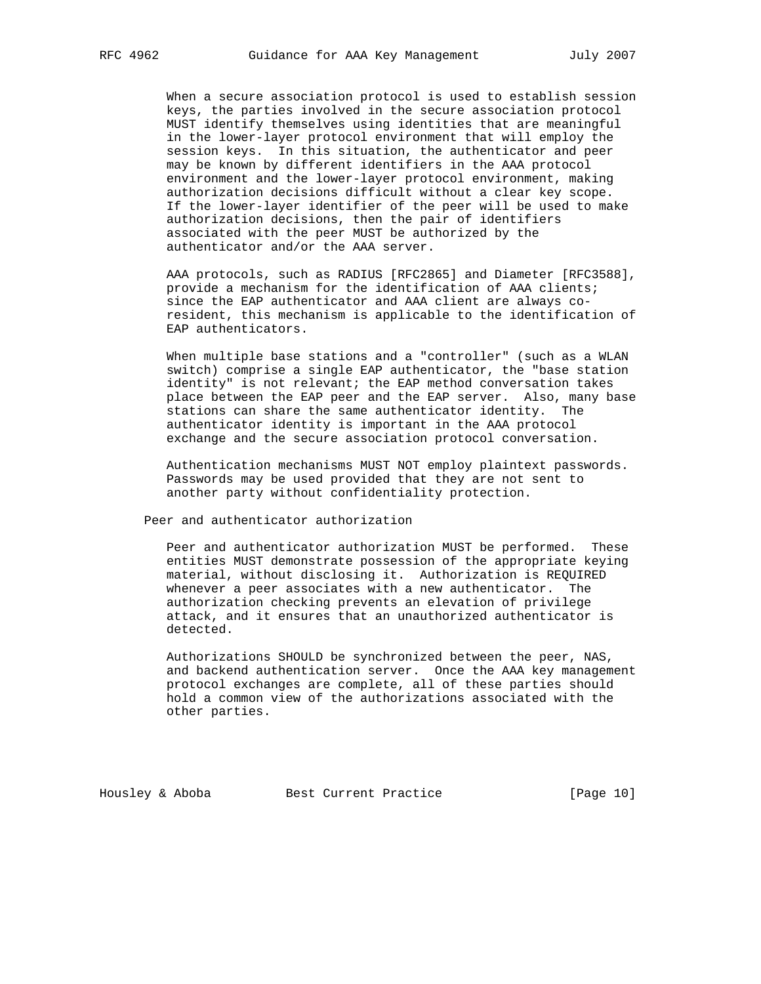When a secure association protocol is used to establish session keys, the parties involved in the secure association protocol MUST identify themselves using identities that are meaningful in the lower-layer protocol environment that will employ the session keys. In this situation, the authenticator and peer may be known by different identifiers in the AAA protocol environment and the lower-layer protocol environment, making authorization decisions difficult without a clear key scope. If the lower-layer identifier of the peer will be used to make authorization decisions, then the pair of identifiers associated with the peer MUST be authorized by the authenticator and/or the AAA server.

 AAA protocols, such as RADIUS [RFC2865] and Diameter [RFC3588], provide a mechanism for the identification of AAA clients; since the EAP authenticator and AAA client are always co resident, this mechanism is applicable to the identification of EAP authenticators.

When multiple base stations and a "controller" (such as a WLAN switch) comprise a single EAP authenticator, the "base station identity" is not relevant; the EAP method conversation takes place between the EAP peer and the EAP server. Also, many base stations can share the same authenticator identity. The authenticator identity is important in the AAA protocol exchange and the secure association protocol conversation.

 Authentication mechanisms MUST NOT employ plaintext passwords. Passwords may be used provided that they are not sent to another party without confidentiality protection.

Peer and authenticator authorization

 Peer and authenticator authorization MUST be performed. These entities MUST demonstrate possession of the appropriate keying material, without disclosing it. Authorization is REQUIRED whenever a peer associates with a new authenticator. The authorization checking prevents an elevation of privilege attack, and it ensures that an unauthorized authenticator is detected.

 Authorizations SHOULD be synchronized between the peer, NAS, and backend authentication server. Once the AAA key management protocol exchanges are complete, all of these parties should hold a common view of the authorizations associated with the other parties.

Housley & Aboba Best Current Practice [Page 10]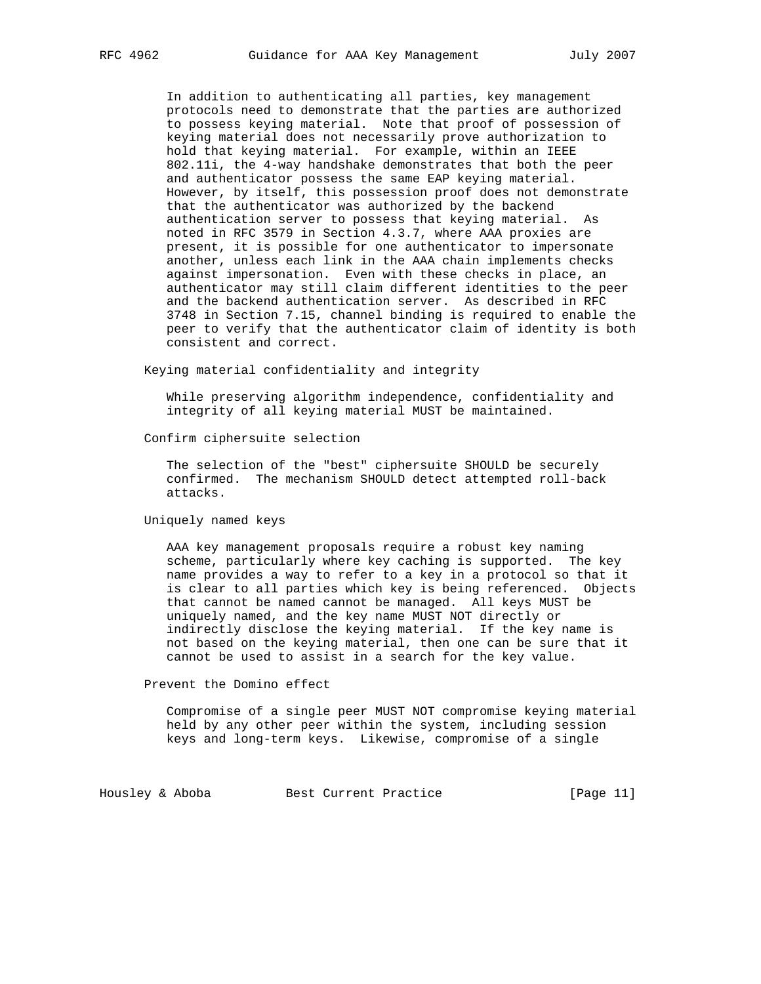In addition to authenticating all parties, key management protocols need to demonstrate that the parties are authorized to possess keying material. Note that proof of possession of keying material does not necessarily prove authorization to hold that keying material. For example, within an IEEE 802.11i, the 4-way handshake demonstrates that both the peer and authenticator possess the same EAP keying material. However, by itself, this possession proof does not demonstrate that the authenticator was authorized by the backend authentication server to possess that keying material. As noted in RFC 3579 in Section 4.3.7, where AAA proxies are present, it is possible for one authenticator to impersonate another, unless each link in the AAA chain implements checks against impersonation. Even with these checks in place, an authenticator may still claim different identities to the peer and the backend authentication server. As described in RFC 3748 in Section 7.15, channel binding is required to enable the peer to verify that the authenticator claim of identity is both consistent and correct.

Keying material confidentiality and integrity

 While preserving algorithm independence, confidentiality and integrity of all keying material MUST be maintained.

Confirm ciphersuite selection

 The selection of the "best" ciphersuite SHOULD be securely confirmed. The mechanism SHOULD detect attempted roll-back attacks.

Uniquely named keys

 AAA key management proposals require a robust key naming scheme, particularly where key caching is supported. The key name provides a way to refer to a key in a protocol so that it is clear to all parties which key is being referenced. Objects that cannot be named cannot be managed. All keys MUST be uniquely named, and the key name MUST NOT directly or indirectly disclose the keying material. If the key name is not based on the keying material, then one can be sure that it cannot be used to assist in a search for the key value.

Prevent the Domino effect

 Compromise of a single peer MUST NOT compromise keying material held by any other peer within the system, including session keys and long-term keys. Likewise, compromise of a single

Housley & Aboba Best Current Practice [Page 11]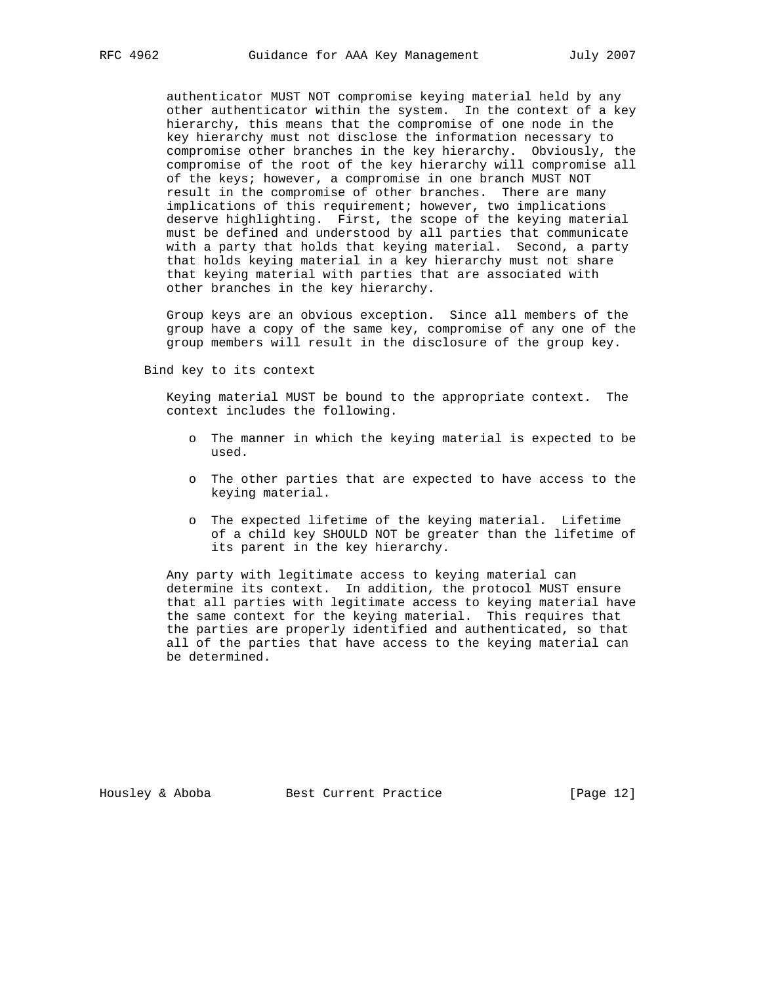authenticator MUST NOT compromise keying material held by any other authenticator within the system. In the context of a key hierarchy, this means that the compromise of one node in the key hierarchy must not disclose the information necessary to compromise other branches in the key hierarchy. Obviously, the compromise of the root of the key hierarchy will compromise all of the keys; however, a compromise in one branch MUST NOT result in the compromise of other branches. There are many implications of this requirement; however, two implications deserve highlighting. First, the scope of the keying material must be defined and understood by all parties that communicate with a party that holds that keying material. Second, a party that holds keying material in a key hierarchy must not share that keying material with parties that are associated with other branches in the key hierarchy.

 Group keys are an obvious exception. Since all members of the group have a copy of the same key, compromise of any one of the group members will result in the disclosure of the group key.

Bind key to its context

 Keying material MUST be bound to the appropriate context. The context includes the following.

- o The manner in which the keying material is expected to be used.
- o The other parties that are expected to have access to the keying material.
- o The expected lifetime of the keying material. Lifetime of a child key SHOULD NOT be greater than the lifetime of its parent in the key hierarchy.

 Any party with legitimate access to keying material can determine its context. In addition, the protocol MUST ensure that all parties with legitimate access to keying material have the same context for the keying material. This requires that the parties are properly identified and authenticated, so that all of the parties that have access to the keying material can be determined.

Housley & Aboba Best Current Practice [Page 12]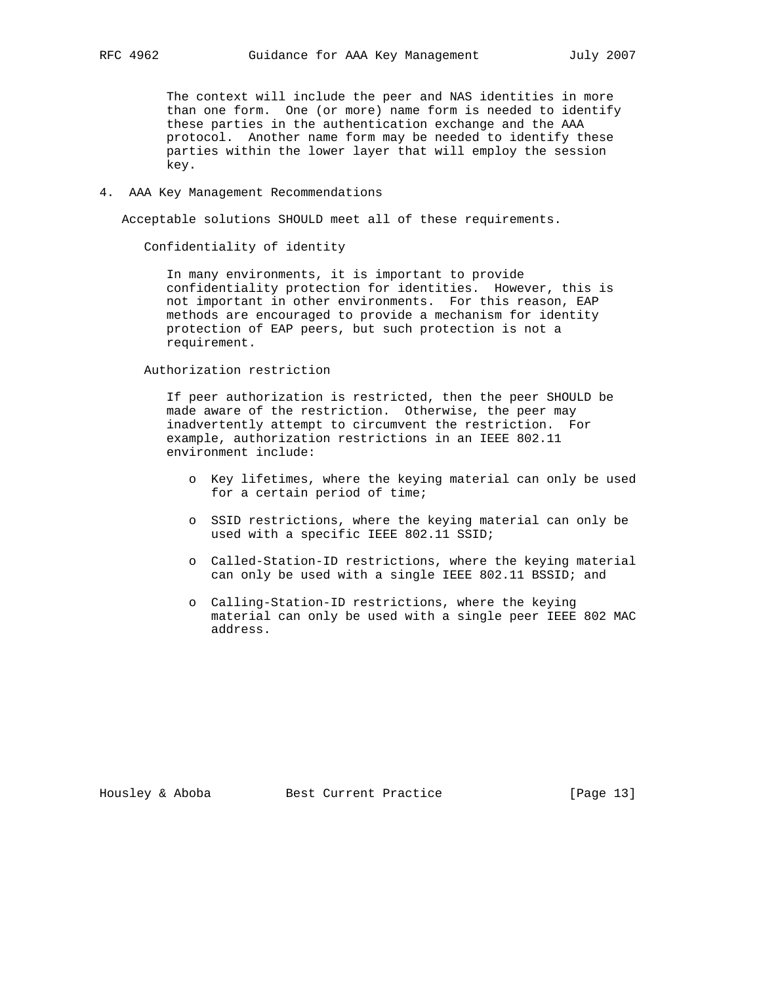The context will include the peer and NAS identities in more than one form. One (or more) name form is needed to identify these parties in the authentication exchange and the AAA protocol. Another name form may be needed to identify these parties within the lower layer that will employ the session key.

4. AAA Key Management Recommendations

Acceptable solutions SHOULD meet all of these requirements.

Confidentiality of identity

 In many environments, it is important to provide confidentiality protection for identities. However, this is not important in other environments. For this reason, EAP methods are encouraged to provide a mechanism for identity protection of EAP peers, but such protection is not a requirement.

Authorization restriction

 If peer authorization is restricted, then the peer SHOULD be made aware of the restriction. Otherwise, the peer may inadvertently attempt to circumvent the restriction. For example, authorization restrictions in an IEEE 802.11 environment include:

- o Key lifetimes, where the keying material can only be used for a certain period of time;
- o SSID restrictions, where the keying material can only be used with a specific IEEE 802.11 SSID;
- o Called-Station-ID restrictions, where the keying material can only be used with a single IEEE 802.11 BSSID; and
- o Calling-Station-ID restrictions, where the keying material can only be used with a single peer IEEE 802 MAC address.

Housley & Aboba Best Current Practice [Page 13]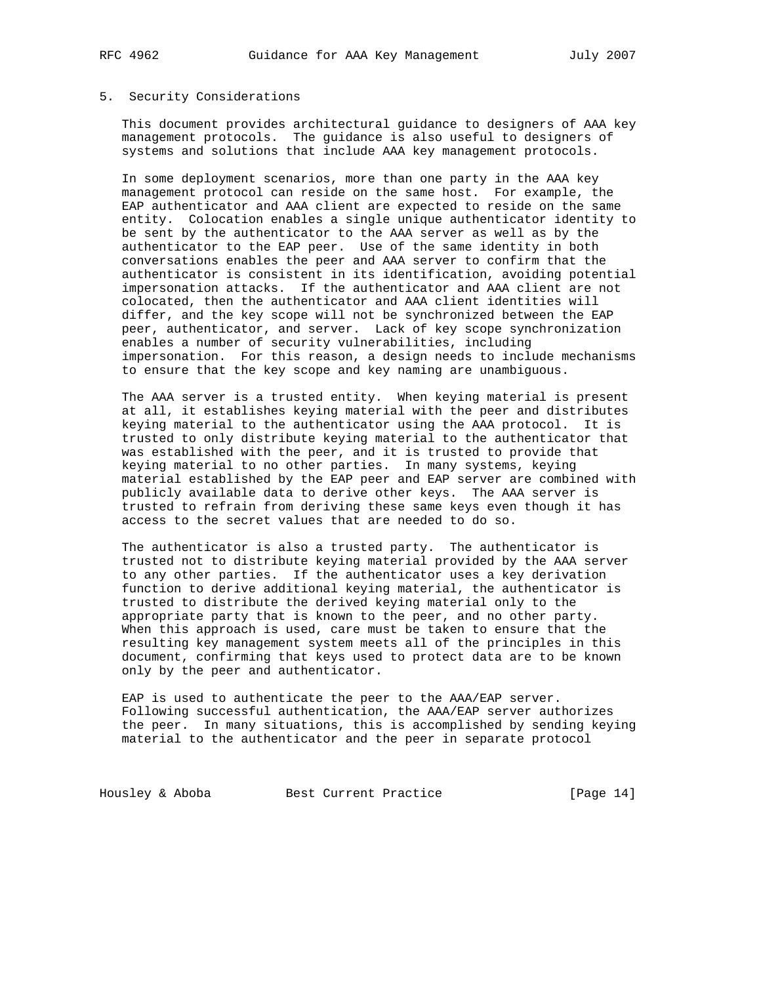# 5. Security Considerations

 This document provides architectural guidance to designers of AAA key management protocols. The guidance is also useful to designers of systems and solutions that include AAA key management protocols.

 In some deployment scenarios, more than one party in the AAA key management protocol can reside on the same host. For example, the EAP authenticator and AAA client are expected to reside on the same entity. Colocation enables a single unique authenticator identity to be sent by the authenticator to the AAA server as well as by the authenticator to the EAP peer. Use of the same identity in both conversations enables the peer and AAA server to confirm that the authenticator is consistent in its identification, avoiding potential impersonation attacks. If the authenticator and AAA client are not colocated, then the authenticator and AAA client identities will differ, and the key scope will not be synchronized between the EAP peer, authenticator, and server. Lack of key scope synchronization enables a number of security vulnerabilities, including impersonation. For this reason, a design needs to include mechanisms to ensure that the key scope and key naming are unambiguous.

 The AAA server is a trusted entity. When keying material is present at all, it establishes keying material with the peer and distributes keying material to the authenticator using the AAA protocol. It is trusted to only distribute keying material to the authenticator that was established with the peer, and it is trusted to provide that keying material to no other parties. In many systems, keying material established by the EAP peer and EAP server are combined with publicly available data to derive other keys. The AAA server is trusted to refrain from deriving these same keys even though it has access to the secret values that are needed to do so.

 The authenticator is also a trusted party. The authenticator is trusted not to distribute keying material provided by the AAA server to any other parties. If the authenticator uses a key derivation function to derive additional keying material, the authenticator is trusted to distribute the derived keying material only to the appropriate party that is known to the peer, and no other party. When this approach is used, care must be taken to ensure that the resulting key management system meets all of the principles in this document, confirming that keys used to protect data are to be known only by the peer and authenticator.

 EAP is used to authenticate the peer to the AAA/EAP server. Following successful authentication, the AAA/EAP server authorizes the peer. In many situations, this is accomplished by sending keying material to the authenticator and the peer in separate protocol

Housley & Aboba Best Current Practice [Page 14]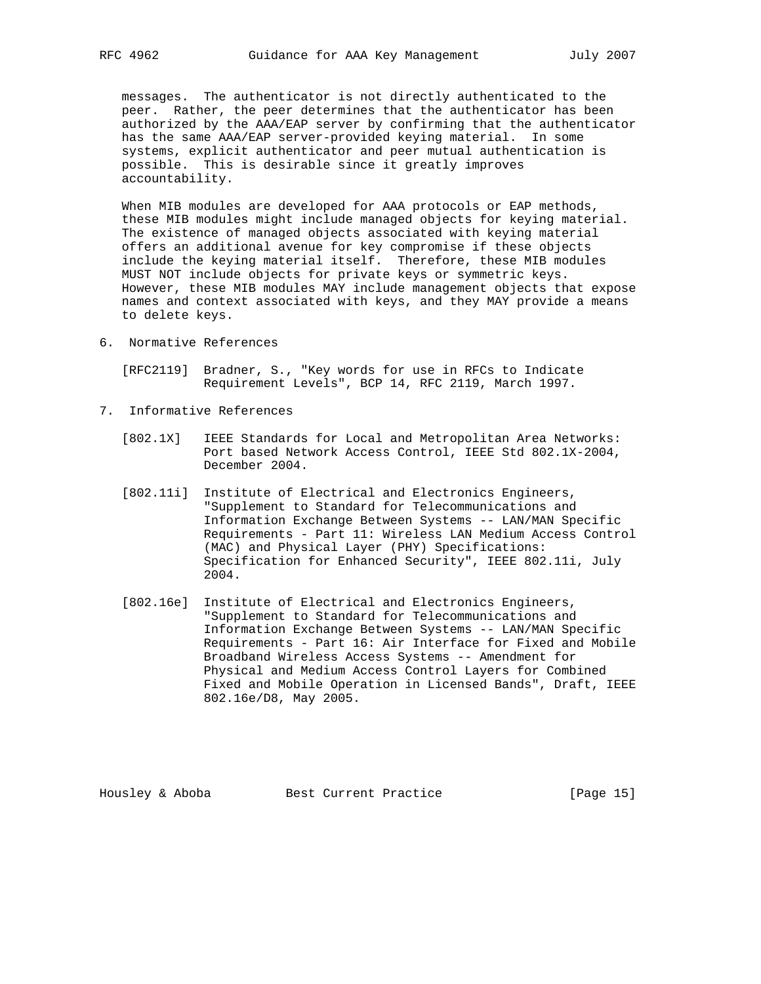messages. The authenticator is not directly authenticated to the peer. Rather, the peer determines that the authenticator has been authorized by the AAA/EAP server by confirming that the authenticator has the same AAA/EAP server-provided keying material. In some systems, explicit authenticator and peer mutual authentication is possible. This is desirable since it greatly improves accountability.

 When MIB modules are developed for AAA protocols or EAP methods, these MIB modules might include managed objects for keying material. The existence of managed objects associated with keying material offers an additional avenue for key compromise if these objects include the keying material itself. Therefore, these MIB modules MUST NOT include objects for private keys or symmetric keys. However, these MIB modules MAY include management objects that expose names and context associated with keys, and they MAY provide a means to delete keys.

6. Normative References

 [RFC2119] Bradner, S., "Key words for use in RFCs to Indicate Requirement Levels", BCP 14, RFC 2119, March 1997.

- 7. Informative References
	- [802.1X] IEEE Standards for Local and Metropolitan Area Networks: Port based Network Access Control, IEEE Std 802.1X-2004, December 2004.
	- [802.11i] Institute of Electrical and Electronics Engineers, "Supplement to Standard for Telecommunications and Information Exchange Between Systems -- LAN/MAN Specific Requirements - Part 11: Wireless LAN Medium Access Control (MAC) and Physical Layer (PHY) Specifications: Specification for Enhanced Security", IEEE 802.11i, July 2004.
	- [802.16e] Institute of Electrical and Electronics Engineers, "Supplement to Standard for Telecommunications and Information Exchange Between Systems -- LAN/MAN Specific Requirements - Part 16: Air Interface for Fixed and Mobile Broadband Wireless Access Systems -- Amendment for Physical and Medium Access Control Layers for Combined Fixed and Mobile Operation in Licensed Bands", Draft, IEEE 802.16e/D8, May 2005.

Housley & Aboba Best Current Practice [Page 15]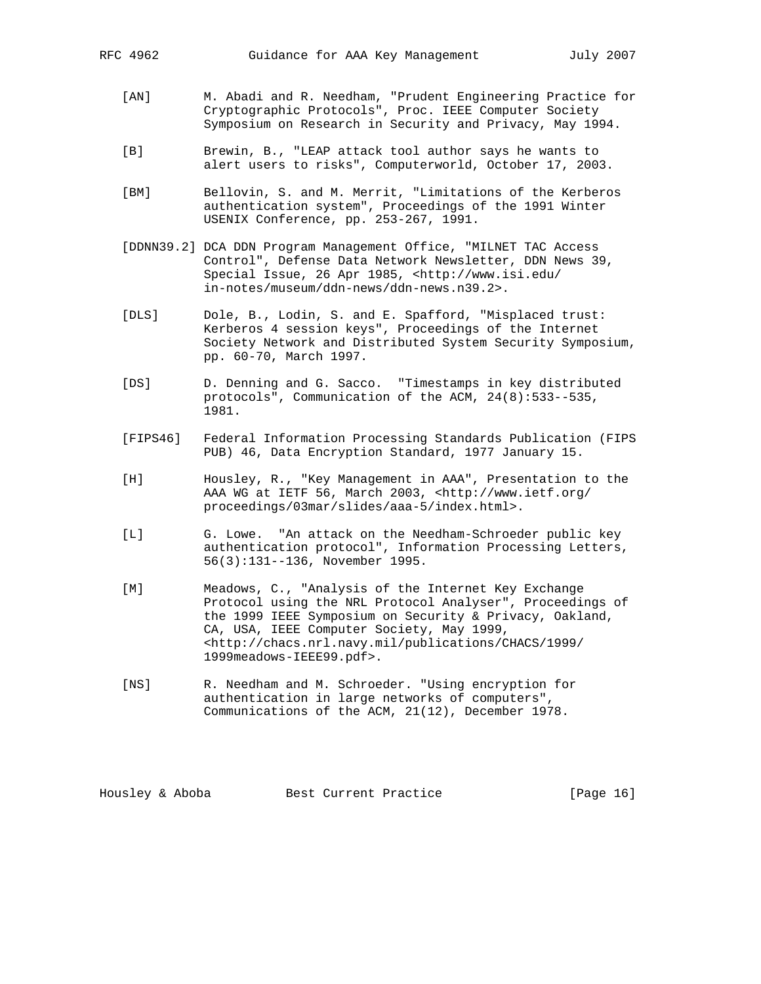- [AN] M. Abadi and R. Needham, "Prudent Engineering Practice for Cryptographic Protocols", Proc. IEEE Computer Society Symposium on Research in Security and Privacy, May 1994.
	- [B] Brewin, B., "LEAP attack tool author says he wants to alert users to risks", Computerworld, October 17, 2003.
	- [BM] Bellovin, S. and M. Merrit, "Limitations of the Kerberos authentication system", Proceedings of the 1991 Winter USENIX Conference, pp. 253-267, 1991.
	- [DDNN39.2] DCA DDN Program Management Office, "MILNET TAC Access Control", Defense Data Network Newsletter, DDN News 39, Special Issue, 26 Apr 1985, <http://www.isi.edu/ in-notes/museum/ddn-news/ddn-news.n39.2>.
	- [DLS] Dole, B., Lodin, S. and E. Spafford, "Misplaced trust: Kerberos 4 session keys", Proceedings of the Internet Society Network and Distributed System Security Symposium, pp. 60-70, March 1997.
	- [DS] D. Denning and G. Sacco. "Timestamps in key distributed protocols", Communication of the ACM, 24(8):533--535, 1981.
	- [FIPS46] Federal Information Processing Standards Publication (FIPS PUB) 46, Data Encryption Standard, 1977 January 15.
	- [H] Housley, R., "Key Management in AAA", Presentation to the AAA WG at IETF 56, March 2003, <http://www.ietf.org/ proceedings/03mar/slides/aaa-5/index.html>.
	- [L] G. Lowe. "An attack on the Needham-Schroeder public key authentication protocol", Information Processing Letters, 56(3):131--136, November 1995.
	- [M] Meadows, C., "Analysis of the Internet Key Exchange Protocol using the NRL Protocol Analyser", Proceedings of the 1999 IEEE Symposium on Security & Privacy, Oakland, CA, USA, IEEE Computer Society, May 1999, <http://chacs.nrl.navy.mil/publications/CHACS/1999/ 1999meadows-IEEE99.pdf>.
	- [NS] R. Needham and M. Schroeder. "Using encryption for authentication in large networks of computers", Communications of the ACM, 21(12), December 1978.

Housley & Aboba Best Current Practice [Page 16]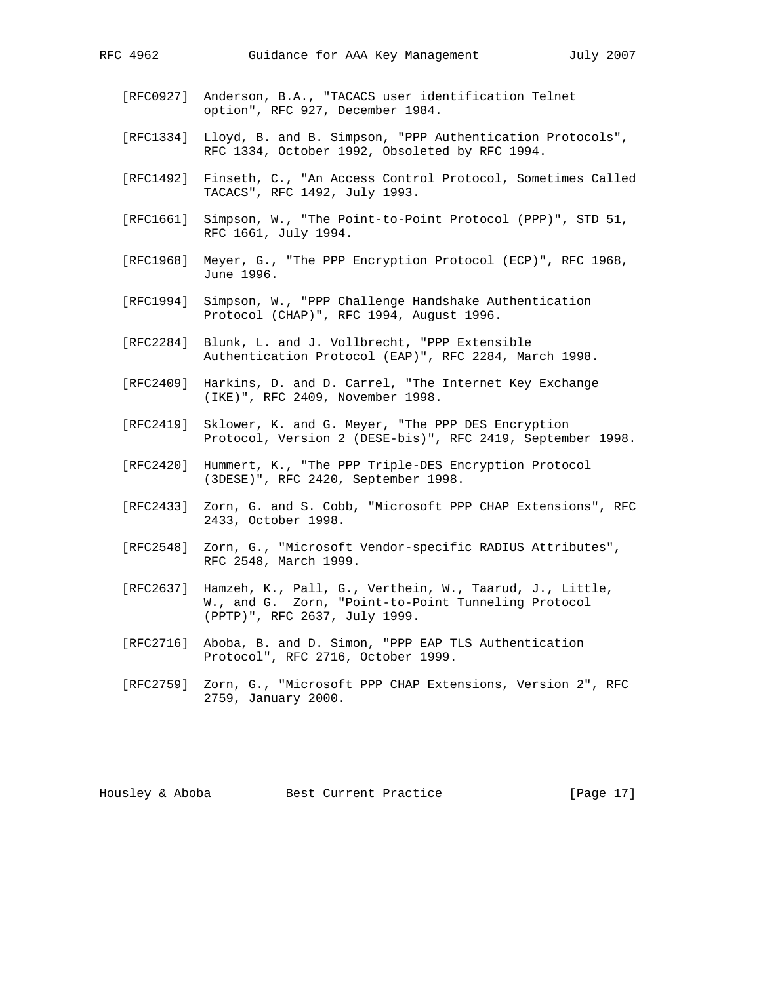- [RFC0927] Anderson, B.A., "TACACS user identification Telnet option", RFC 927, December 1984.
- [RFC1334] Lloyd, B. and B. Simpson, "PPP Authentication Protocols", RFC 1334, October 1992, Obsoleted by RFC 1994.
- [RFC1492] Finseth, C., "An Access Control Protocol, Sometimes Called TACACS", RFC 1492, July 1993.
- [RFC1661] Simpson, W., "The Point-to-Point Protocol (PPP)", STD 51, RFC 1661, July 1994.
- [RFC1968] Meyer, G., "The PPP Encryption Protocol (ECP)", RFC 1968, June 1996.
- [RFC1994] Simpson, W., "PPP Challenge Handshake Authentication Protocol (CHAP)", RFC 1994, August 1996.
- [RFC2284] Blunk, L. and J. Vollbrecht, "PPP Extensible Authentication Protocol (EAP)", RFC 2284, March 1998.
- [RFC2409] Harkins, D. and D. Carrel, "The Internet Key Exchange (IKE)", RFC 2409, November 1998.
- [RFC2419] Sklower, K. and G. Meyer, "The PPP DES Encryption Protocol, Version 2 (DESE-bis)", RFC 2419, September 1998.
- [RFC2420] Hummert, K., "The PPP Triple-DES Encryption Protocol (3DESE)", RFC 2420, September 1998.
- [RFC2433] Zorn, G. and S. Cobb, "Microsoft PPP CHAP Extensions", RFC 2433, October 1998.
- [RFC2548] Zorn, G., "Microsoft Vendor-specific RADIUS Attributes", RFC 2548, March 1999.
- [RFC2637] Hamzeh, K., Pall, G., Verthein, W., Taarud, J., Little, W., and G. Zorn, "Point-to-Point Tunneling Protocol (PPTP)", RFC 2637, July 1999.
- [RFC2716] Aboba, B. and D. Simon, "PPP EAP TLS Authentication Protocol", RFC 2716, October 1999.
- [RFC2759] Zorn, G., "Microsoft PPP CHAP Extensions, Version 2", RFC 2759, January 2000.

Housley & Aboba Best Current Practice [Page 17]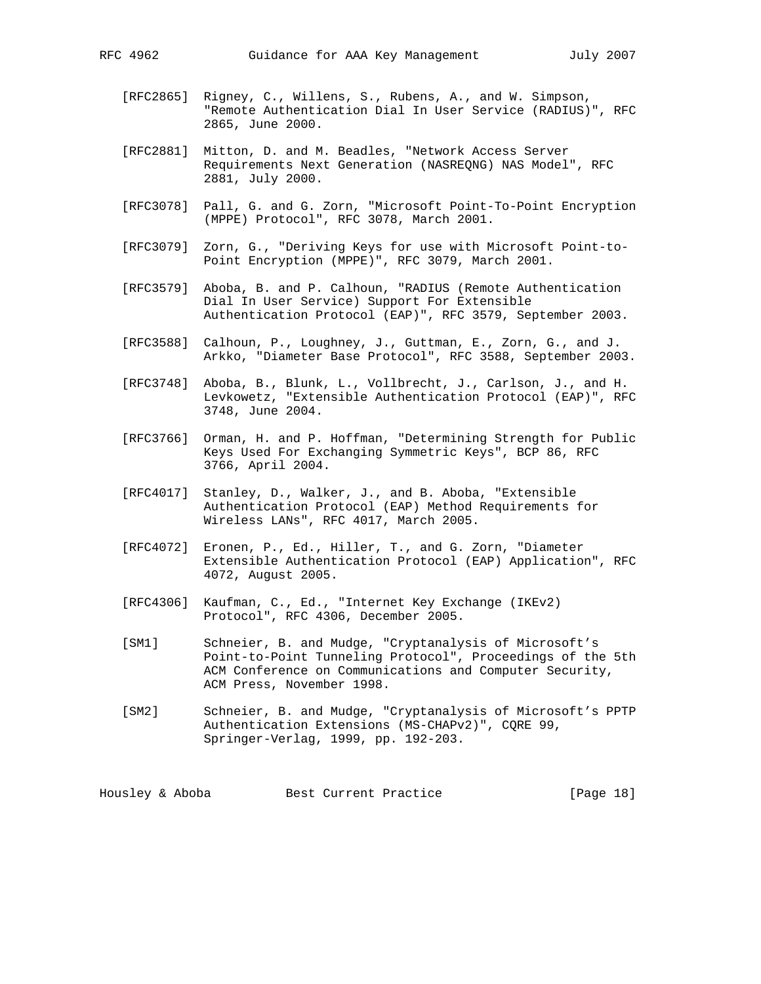- [RFC2865] Rigney, C., Willens, S., Rubens, A., and W. Simpson, "Remote Authentication Dial In User Service (RADIUS)", RFC 2865, June 2000.
- [RFC2881] Mitton, D. and M. Beadles, "Network Access Server Requirements Next Generation (NASREQNG) NAS Model", RFC 2881, July 2000.
- [RFC3078] Pall, G. and G. Zorn, "Microsoft Point-To-Point Encryption (MPPE) Protocol", RFC 3078, March 2001.
- [RFC3079] Zorn, G., "Deriving Keys for use with Microsoft Point-to- Point Encryption (MPPE)", RFC 3079, March 2001.
- [RFC3579] Aboba, B. and P. Calhoun, "RADIUS (Remote Authentication Dial In User Service) Support For Extensible Authentication Protocol (EAP)", RFC 3579, September 2003.
- [RFC3588] Calhoun, P., Loughney, J., Guttman, E., Zorn, G., and J. Arkko, "Diameter Base Protocol", RFC 3588, September 2003.
- [RFC3748] Aboba, B., Blunk, L., Vollbrecht, J., Carlson, J., and H. Levkowetz, "Extensible Authentication Protocol (EAP)", RFC 3748, June 2004.
- [RFC3766] Orman, H. and P. Hoffman, "Determining Strength for Public Keys Used For Exchanging Symmetric Keys", BCP 86, RFC 3766, April 2004.
- [RFC4017] Stanley, D., Walker, J., and B. Aboba, "Extensible Authentication Protocol (EAP) Method Requirements for Wireless LANs", RFC 4017, March 2005.
- [RFC4072] Eronen, P., Ed., Hiller, T., and G. Zorn, "Diameter Extensible Authentication Protocol (EAP) Application", RFC 4072, August 2005.
- [RFC4306] Kaufman, C., Ed., "Internet Key Exchange (IKEv2) Protocol", RFC 4306, December 2005.
- [SM1] Schneier, B. and Mudge, "Cryptanalysis of Microsoft's Point-to-Point Tunneling Protocol", Proceedings of the 5th ACM Conference on Communications and Computer Security, ACM Press, November 1998.
- [SM2] Schneier, B. and Mudge, "Cryptanalysis of Microsoft's PPTP Authentication Extensions (MS-CHAPv2)", CQRE 99, Springer-Verlag, 1999, pp. 192-203.

Housley & Aboba Best Current Practice [Page 18]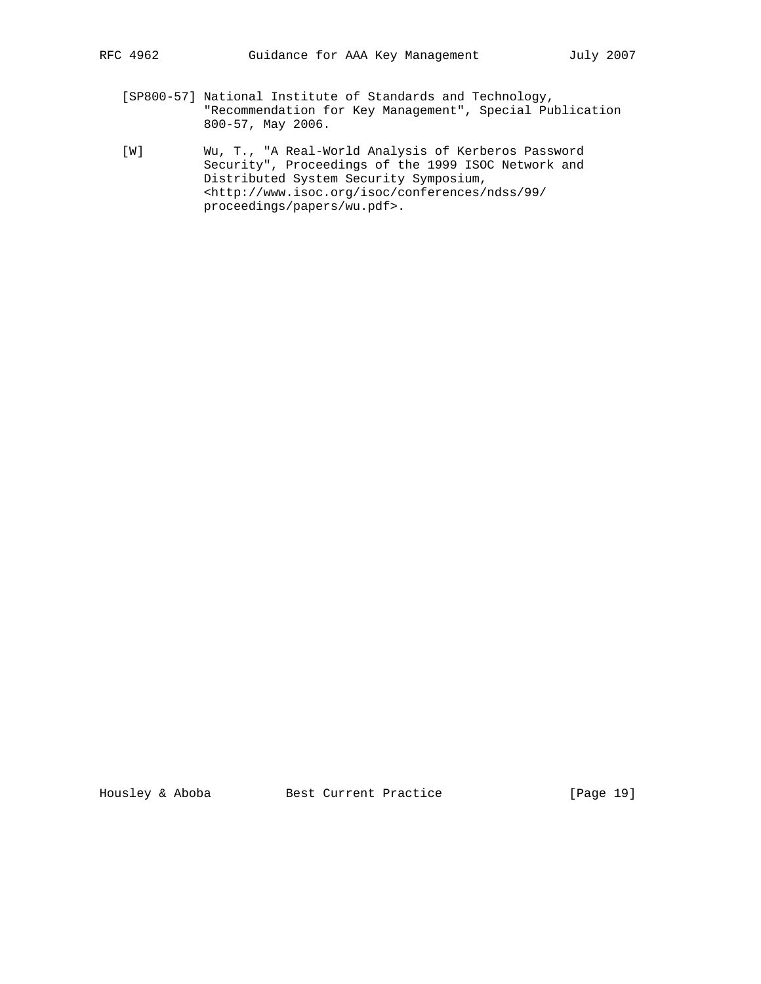- [SP800-57] National Institute of Standards and Technology, "Recommendation for Key Management", Special Publication 800-57, May 2006.
- [W] Wu, T., "A Real-World Analysis of Kerberos Password Security", Proceedings of the 1999 ISOC Network and Distributed System Security Symposium, <http://www.isoc.org/isoc/conferences/ndss/99/ proceedings/papers/wu.pdf>.

Housley & Aboba Best Current Practice [Page 19]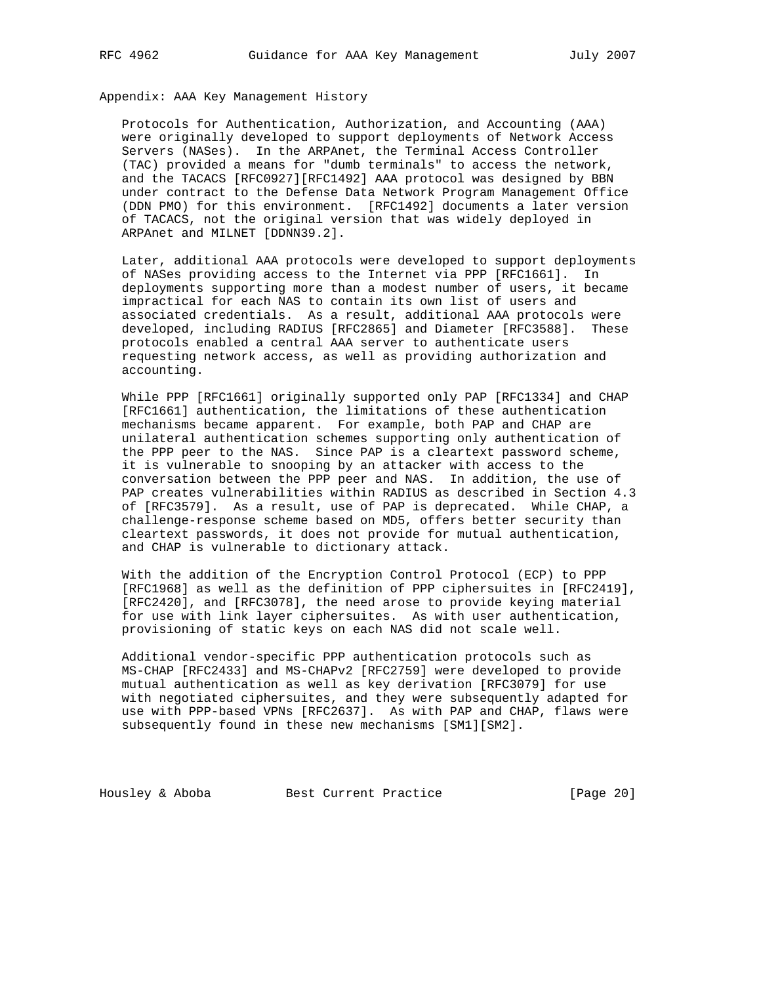Appendix: AAA Key Management History

 Protocols for Authentication, Authorization, and Accounting (AAA) were originally developed to support deployments of Network Access Servers (NASes). In the ARPAnet, the Terminal Access Controller (TAC) provided a means for "dumb terminals" to access the network, and the TACACS [RFC0927][RFC1492] AAA protocol was designed by BBN under contract to the Defense Data Network Program Management Office (DDN PMO) for this environment. [RFC1492] documents a later version of TACACS, not the original version that was widely deployed in ARPAnet and MILNET [DDNN39.2].

 Later, additional AAA protocols were developed to support deployments of NASes providing access to the Internet via PPP [RFC1661]. In deployments supporting more than a modest number of users, it became impractical for each NAS to contain its own list of users and associated credentials. As a result, additional AAA protocols were developed, including RADIUS [RFC2865] and Diameter [RFC3588]. These protocols enabled a central AAA server to authenticate users requesting network access, as well as providing authorization and accounting.

 While PPP [RFC1661] originally supported only PAP [RFC1334] and CHAP [RFC1661] authentication, the limitations of these authentication mechanisms became apparent. For example, both PAP and CHAP are unilateral authentication schemes supporting only authentication of the PPP peer to the NAS. Since PAP is a cleartext password scheme, it is vulnerable to snooping by an attacker with access to the conversation between the PPP peer and NAS. In addition, the use of PAP creates vulnerabilities within RADIUS as described in Section 4.3 of [RFC3579]. As a result, use of PAP is deprecated. While CHAP, a challenge-response scheme based on MD5, offers better security than cleartext passwords, it does not provide for mutual authentication, and CHAP is vulnerable to dictionary attack.

 With the addition of the Encryption Control Protocol (ECP) to PPP [RFC1968] as well as the definition of PPP ciphersuites in [RFC2419], [RFC2420], and [RFC3078], the need arose to provide keying material for use with link layer ciphersuites. As with user authentication, provisioning of static keys on each NAS did not scale well.

 Additional vendor-specific PPP authentication protocols such as MS-CHAP [RFC2433] and MS-CHAPv2 [RFC2759] were developed to provide mutual authentication as well as key derivation [RFC3079] for use with negotiated ciphersuites, and they were subsequently adapted for use with PPP-based VPNs [RFC2637]. As with PAP and CHAP, flaws were subsequently found in these new mechanisms [SM1][SM2].

Housley & Aboba Best Current Practice [Page 20]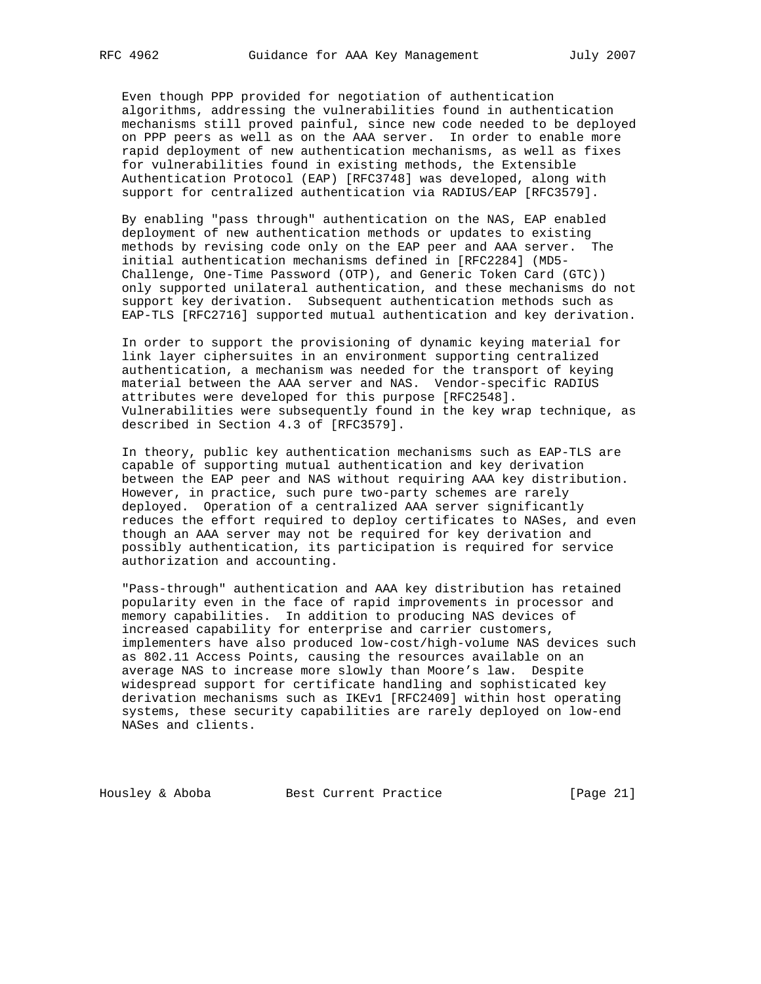Even though PPP provided for negotiation of authentication algorithms, addressing the vulnerabilities found in authentication mechanisms still proved painful, since new code needed to be deployed on PPP peers as well as on the AAA server. In order to enable more rapid deployment of new authentication mechanisms, as well as fixes for vulnerabilities found in existing methods, the Extensible Authentication Protocol (EAP) [RFC3748] was developed, along with support for centralized authentication via RADIUS/EAP [RFC3579].

 By enabling "pass through" authentication on the NAS, EAP enabled deployment of new authentication methods or updates to existing methods by revising code only on the EAP peer and AAA server. The initial authentication mechanisms defined in [RFC2284] (MD5- Challenge, One-Time Password (OTP), and Generic Token Card (GTC)) only supported unilateral authentication, and these mechanisms do not support key derivation. Subsequent authentication methods such as EAP-TLS [RFC2716] supported mutual authentication and key derivation.

 In order to support the provisioning of dynamic keying material for link layer ciphersuites in an environment supporting centralized authentication, a mechanism was needed for the transport of keying material between the AAA server and NAS. Vendor-specific RADIUS attributes were developed for this purpose [RFC2548]. Vulnerabilities were subsequently found in the key wrap technique, as described in Section 4.3 of [RFC3579].

 In theory, public key authentication mechanisms such as EAP-TLS are capable of supporting mutual authentication and key derivation between the EAP peer and NAS without requiring AAA key distribution. However, in practice, such pure two-party schemes are rarely deployed. Operation of a centralized AAA server significantly reduces the effort required to deploy certificates to NASes, and even though an AAA server may not be required for key derivation and possibly authentication, its participation is required for service authorization and accounting.

 "Pass-through" authentication and AAA key distribution has retained popularity even in the face of rapid improvements in processor and memory capabilities. In addition to producing NAS devices of increased capability for enterprise and carrier customers, implementers have also produced low-cost/high-volume NAS devices such as 802.11 Access Points, causing the resources available on an average NAS to increase more slowly than Moore's law. Despite widespread support for certificate handling and sophisticated key derivation mechanisms such as IKEv1 [RFC2409] within host operating systems, these security capabilities are rarely deployed on low-end NASes and clients.

Housley & Aboba Best Current Practice [Page 21]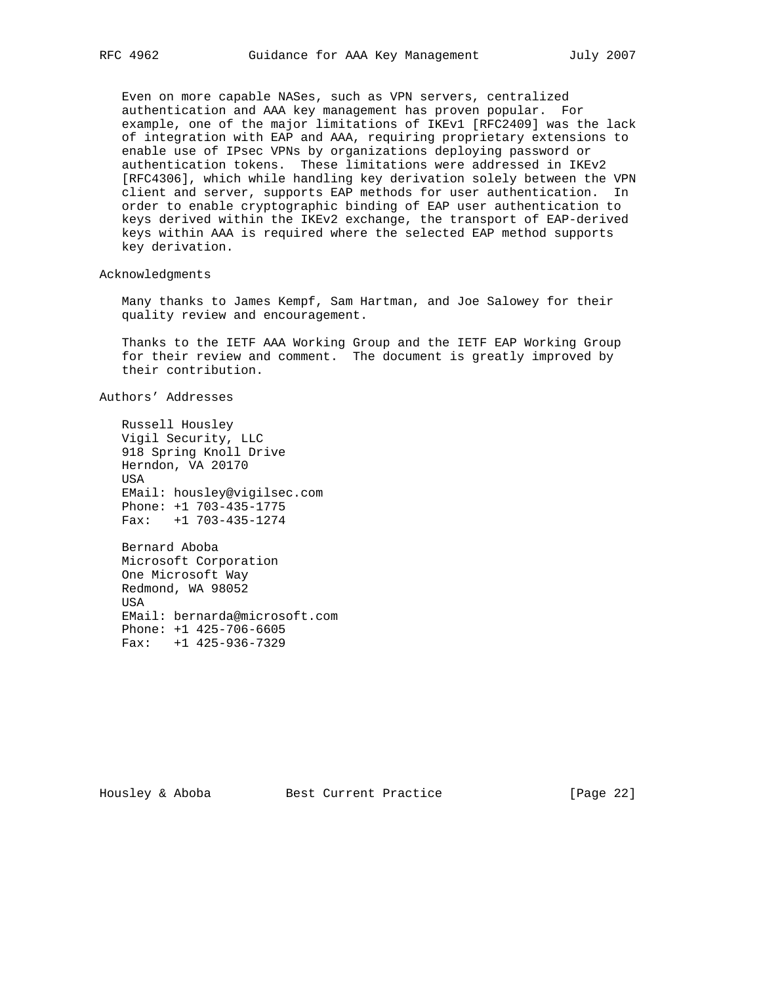Even on more capable NASes, such as VPN servers, centralized authentication and AAA key management has proven popular. For example, one of the major limitations of IKEv1 [RFC2409] was the lack of integration with EAP and AAA, requiring proprietary extensions to enable use of IPsec VPNs by organizations deploying password or authentication tokens. These limitations were addressed in IKEv2 [RFC4306], which while handling key derivation solely between the VPN client and server, supports EAP methods for user authentication. In order to enable cryptographic binding of EAP user authentication to keys derived within the IKEv2 exchange, the transport of EAP-derived keys within AAA is required where the selected EAP method supports key derivation.

Acknowledgments

 Many thanks to James Kempf, Sam Hartman, and Joe Salowey for their quality review and encouragement.

 Thanks to the IETF AAA Working Group and the IETF EAP Working Group for their review and comment. The document is greatly improved by their contribution.

Authors' Addresses

 Russell Housley Vigil Security, LLC 918 Spring Knoll Drive Herndon, VA 20170 USA EMail: housley@vigilsec.com Phone: +1 703-435-1775 Fax: +1 703-435-1274

 Bernard Aboba Microsoft Corporation One Microsoft Way Redmond, WA 98052 USA EMail: bernarda@microsoft.com Phone: +1 425-706-6605 Fax: +1 425-936-7329

Housley & Aboba Best Current Practice [Page 22]